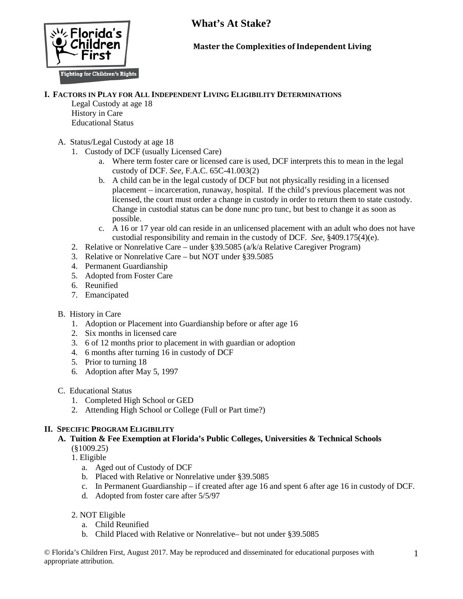

## **Master the Complexities of Independent Living**

#### **I. FACTORS IN PLAY FOR ALL INDEPENDENT LIVING ELIGIBILITY DETERMINATIONS**

Legal Custody at age 18 History in Care Educational Status

- A. Status/Legal Custody at age 18
	- 1. Custody of DCF (usually Licensed Care)
		- a. Where term foster care or licensed care is used, DCF interprets this to mean in the legal custody of DCF. *See,* F.A.C. 65C-41.003(2)
		- b. A child can be in the legal custody of DCF but not physically residing in a licensed placement – incarceration, runaway, hospital. If the child's previous placement was not licensed, the court must order a change in custody in order to return them to state custody. Change in custodial status can be done nunc pro tunc, but best to change it as soon as possible.
		- c. A 16 or 17 year old can reside in an unlicensed placement with an adult who does not have custodial responsibility and remain in the custody of DCF. *See,* §409.175(4)(e).
	- 2. Relative or Nonrelative Care under §39.5085 (a/k/a Relative Caregiver Program)
	- 3. Relative or Nonrelative Care but NOT under §39.5085
	- 4. Permanent Guardianship
	- 5. Adopted from Foster Care
	- 6. Reunified
	- 7. Emancipated
- B. History in Care
	- 1. Adoption or Placement into Guardianship before or after age 16
	- 2. Six months in licensed care
	- 3. 6 of 12 months prior to placement in with guardian or adoption
	- 4. 6 months after turning 16 in custody of DCF
	- 5. Prior to turning 18
	- 6. Adoption after May 5, 1997
- C. Educational Status
	- 1. Completed High School or GED
	- 2. Attending High School or College (Full or Part time?)

## **II. SPECIFIC PROGRAM ELIGIBILITY**

- **A. Tuition & Fee Exemption at Florida's Public Colleges, Universities & Technical Schools** (§1009.25)
	- 1. Eligible
		- a. Aged out of Custody of DCF
		- b. Placed with Relative or Nonrelative under §39.5085
		- c. In Permanent Guardianship if created after age 16 and spent 6 after age 16 in custody of DCF.
		- d. Adopted from foster care after 5/5/97
	- 2. NOT Eligible
		- a. Child Reunified
		- b. Child Placed with Relative or Nonrelative– but not under §39.5085

© Florida's Children First, August 2017. May be reproduced and disseminated for educational purposes with appropriate attribution.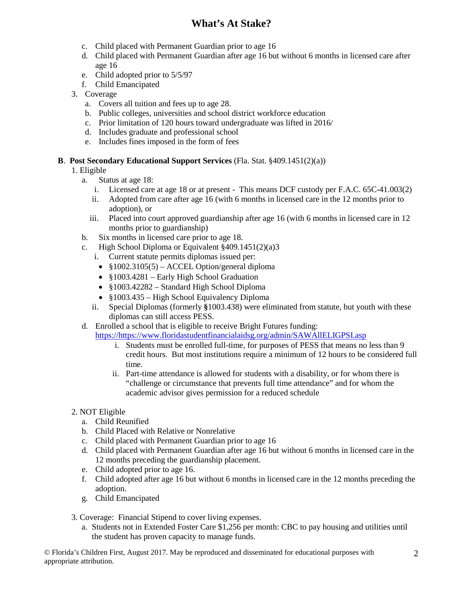- c. Child placed with Permanent Guardian prior to age 16
- d. Child placed with Permanent Guardian after age 16 but without 6 months in licensed care after age 16
- e. Child adopted prior to 5/5/97
- f. Child Emancipated
- 3. Coverage
	- a. Covers all tuition and fees up to age 28.
	- b. Public colleges, universities and school district workforce education
	- c. Prior limitation of 120 hours toward undergraduate was lifted in 2016/
	- d. Includes graduate and professional school
	- e. Includes fines imposed in the form of fees

#### **B**. **Post Secondary Educational Support Services** (Fla. Stat. §409.1451(2)(a))

- 1. Eligible
	- a. Status at age 18:
		- i. Licensed care at age 18 or at present This means DCF custody per F.A.C. 65C-41.003(2)
		- ii. Adopted from care after age 16 (with 6 months in licensed care in the 12 months prior to adoption), or
		- iii. Placed into court approved guardianship after age 16 (with 6 months in licensed care in 12 months prior to guardianship)
	- b. Six months in licensed care prior to age 18.
	- c. High School Diploma or Equivalent §409.1451(2)(a)3
		- i. Current statute permits diplomas issued per:
		- $$1002.3105(5) ACCEL Option/general diploma$
		- §1003.4281 Early High School Graduation
		- §1003.42282 Standard High School Diploma
		- §1003.435 High School Equivalency Diploma
		- ii. Special Diplomas (formerly **§**1003.438) were eliminated from statute, but youth with these diplomas can still access PESS.
	- d. Enrolled a school that is eligible to receive Bright Futures funding:

[https://https://www.floridastudentfinancialaidsg.org/admin/SAWAllELIGPSI.asp](https://https/www.floridastudentfinancialaidsg.org/admin/SAWAllELIGPSI.asp)

- i. Students must be enrolled full-time, for purposes of PESS that means no less than 9 credit hours. But most institutions require a minimum of 12 hours to be considered full time.
- ii. Part-time attendance is allowed for students with a disability, or for whom there is "challenge or circumstance that prevents full time attendance" and for whom the academic advisor gives permission for a reduced schedule

## 2. NOT Eligible

- a. Child Reunified
- b. Child Placed with Relative or Nonrelative
- c. Child placed with Permanent Guardian prior to age 16
- d. Child placed with Permanent Guardian after age 16 but without 6 months in licensed care in the 12 months preceding the guardianship placement.
- e. Child adopted prior to age 16.
- f. Child adopted after age 16 but without 6 months in licensed care in the 12 months preceding the adoption.
- g. Child Emancipated
- 3. Coverage: Financial Stipend to cover living expenses.
	- a. Students not in Extended Foster Care \$1,256 per month: CBC to pay housing and utilities until the student has proven capacity to manage funds.

© Florida's Children First, August 2017. May be reproduced and disseminated for educational purposes with appropriate attribution.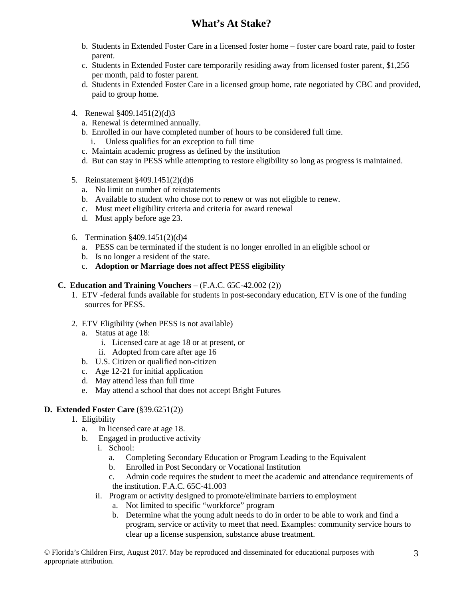- b. Students in Extended Foster Care in a licensed foster home foster care board rate, paid to foster parent.
- c. Students in Extended Foster care temporarily residing away from licensed foster parent, \$1,256 per month, paid to foster parent.
- d. Students in Extended Foster Care in a licensed group home, rate negotiated by CBC and provided, paid to group home.
- 4. Renewal §409.1451(2)(d)3
	- a. Renewal is determined annually.
	- b. Enrolled in our have completed number of hours to be considered full time.
		- i. Unless qualifies for an exception to full time
	- c. Maintain academic progress as defined by the institution
	- d. But can stay in PESS while attempting to restore eligibility so long as progress is maintained.
- 5. Reinstatement §409.1451(2)(d)6
	- a. No limit on number of reinstatements
	- b. Available to student who chose not to renew or was not eligible to renew.
	- c. Must meet eligibility criteria and criteria for award renewal
	- d. Must apply before age 23.
- 6. Termination §409.1451(2)(d)4
	- a. PESS can be terminated if the student is no longer enrolled in an eligible school or
	- b. Is no longer a resident of the state.
	- c. **Adoption or Marriage does not affect PESS eligibility**

#### **C. Education and Training Vouchers** – (F.A.C. 65C-42.002 (2))

- 1. ETV -federal funds available for students in post-secondary education, ETV is one of the funding sources for PESS.
- 2. ETV Eligibility (when PESS is not available)
	- a. Status at age 18:
		- i. Licensed care at age 18 or at present, or
		- ii. Adopted from care after age 16
	- b. U.S. Citizen or qualified non-citizen
	- c. Age 12-21 for initial application
	- d. May attend less than full time
	- e. May attend a school that does not accept Bright Futures

## **D. Extended Foster Care** (§39.6251(2))

- 1. Eligibility
	- a. In licensed care at age 18.
	- b. Engaged in productive activity
		- i. School:
			- a. Completing Secondary Education or Program Leading to the Equivalent
			- b. Enrolled in Post Secondary or Vocational Institution
			- c. Admin code requires the student to meet the academic and attendance requirements of the institution. F.A.C. 65C-41.003
		- ii. Program or activity designed to promote/eliminate barriers to employment
			- a. Not limited to specific "workforce" program
			- b. Determine what the young adult needs to do in order to be able to work and find a program, service or activity to meet that need. Examples: community service hours to clear up a license suspension, substance abuse treatment.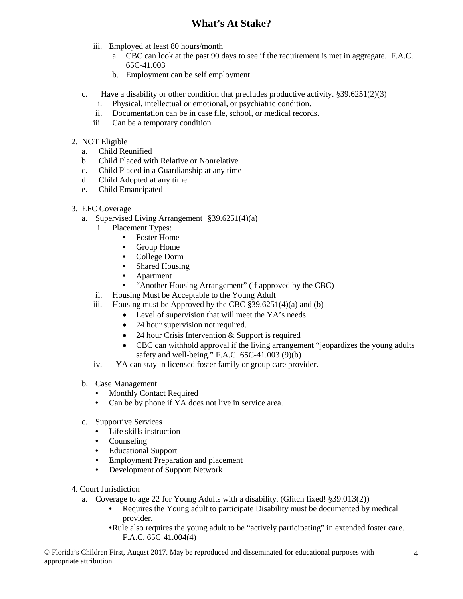- iii. Employed at least 80 hours/month
	- a. CBC can look at the past 90 days to see if the requirement is met in aggregate. F.A.C. 65C-41.003
	- b. Employment can be self employment
- c. Have a disability or other condition that precludes productive activity.  $\S 39.6251(2)(3)$ 
	- i. Physical, intellectual or emotional, or psychiatric condition.
	- ii. Documentation can be in case file, school, or medical records.
	- iii. Can be a temporary condition
- 2. NOT Eligible
	- a. Child Reunified
	- b. Child Placed with Relative or Nonrelative
	- c. Child Placed in a Guardianship at any time
	- d. Child Adopted at any time
	- e. Child Emancipated
- 3. EFC Coverage
	- a. Supervised Living Arrangement §39.6251(4)(a)
		- i. Placement Types:
			- Foster Home
			- Group Home<br>• College Dorm
			- College Dorm
			- Shared Housing
			- Apartment
			- "Another Housing Arrangement" (if approved by the CBC)
		- ii. Housing Must be Acceptable to the Young Adult
		- iii. Housing must be Approved by the CBC  $\S 39.6251(4)(a)$  and (b)
			- Level of supervision that will meet the YA's needs
			- 24 hour supervision not required.
			- 24 hour Crisis Intervention  $&$  Support is required
			- CBC can withhold approval if the living arrangement "jeopardizes the young adults safety and well-being." F.A.C. 65C-41.003 (9)(b)
		- iv. YA can stay in licensed foster family or group care provider.
	- b. Case Management
		- Monthly Contact Required
		- Can be by phone if YA does not live in service area.
	- c. Supportive Services
		- Life skills instruction
		- Counseling
		- Educational Support
		- Employment Preparation and placement
		- Development of Support Network
- 4. Court Jurisdiction
	- a. Coverage to age 22 for Young Adults with a disability. (Glitch fixed! §39.013(2))
		- Requires the Young adult to participate Disability must be documented by medical provider.
		- •Rule also requires the young adult to be "actively participating" in extended foster care. F.A.C. 65C-41.004(4)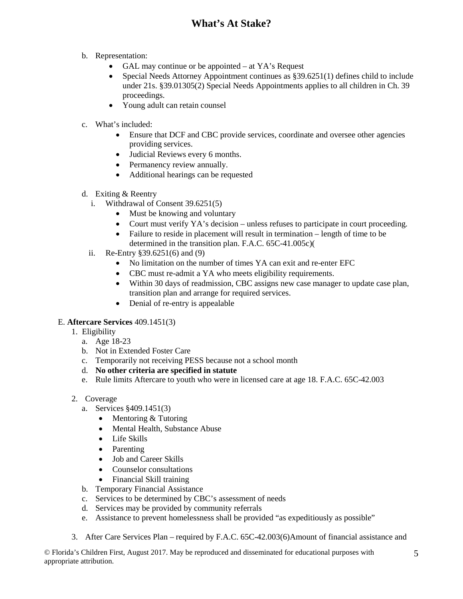- b. Representation:
	- GAL may continue or be appointed at YA's Request
	- Special Needs Attorney Appointment continues as §39.6251(1) defines child to include under 21s. §39.01305(2) Special Needs Appointments applies to all children in Ch. 39 proceedings.
	- Young adult can retain counsel
- c. What's included:
	- Ensure that DCF and CBC provide services, coordinate and oversee other agencies providing services.
	- Judicial Reviews every 6 months.
	- Permanency review annually.
	- Additional hearings can be requested
- d. Exiting & Reentry
	- i. Withdrawal of Consent 39.6251(5)
		- Must be knowing and voluntary
		- Court must verify YA's decision unless refuses to participate in court proceeding.
		- Failure to reside in placement will result in termination length of time to be determined in the transition plan. F.A.C. 65C-41.005c)(
	- ii. Re-Entry §39.6251(6) and (9)
		- No limitation on the number of times YA can exit and re-enter EFC
		- CBC must re-admit a YA who meets eligibility requirements.
		- Within 30 days of readmission, CBC assigns new case manager to update case plan, transition plan and arrange for required services.
		- Denial of re-entry is appealable

## E. **Aftercare Services** 409.1451(3)

- 1. Eligibility
	- a. Age 18-23
	- b. Not in Extended Foster Care
	- c. Temporarily not receiving PESS because not a school month
	- d. **No other criteria are specified in statute**
	- e. Rule limits Aftercare to youth who were in licensed care at age 18. F.A.C. 65C-42.003
- 2. Coverage
	- a. Services §409.1451(3)
		- Mentoring & Tutoring
		- Mental Health, Substance Abuse
		- Life Skills
		- Parenting
		- Job and Career Skills
		- Counselor consultations
		- Financial Skill training
	- b. Temporary Financial Assistance
	- c. Services to be determined by CBC's assessment of needs
	- d. Services may be provided by community referrals
	- e. Assistance to prevent homelessness shall be provided "as expeditiously as possible"
- 3. After Care Services Plan required by F.A.C. 65C-42.003(6)Amount of financial assistance and

© Florida's Children First, August 2017. May be reproduced and disseminated for educational purposes with appropriate attribution.